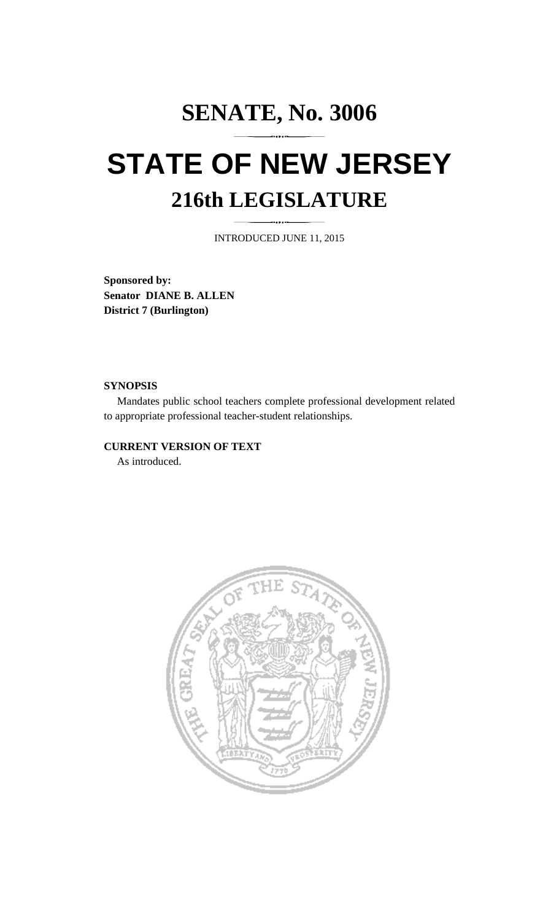## **SENATE, No. 3006 STATE OF NEW JERSEY 216th LEGISLATURE**

INTRODUCED JUNE 11, 2015

**Sponsored by: Senator DIANE B. ALLEN District 7 (Burlington)** 

## **SYNOPSIS**

 Mandates public school teachers complete professional development related to appropriate professional teacher-student relationships.

## **CURRENT VERSION OF TEXT**

As introduced.